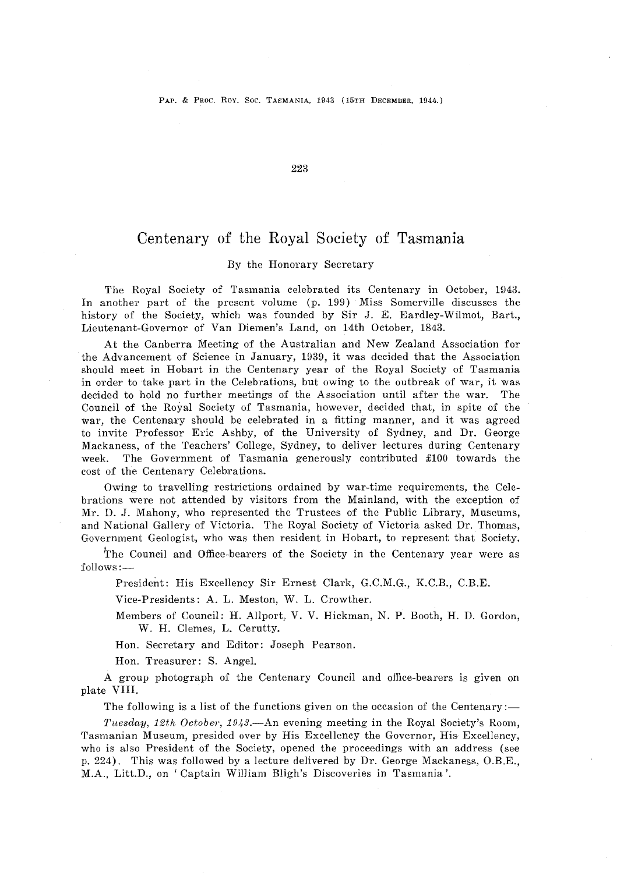223

# Centenary of the Royal Society of Tasmania

#### By the Honorary Secretary

The Royal Society of Tasmania celebrated its Centenary in October, 1943. In another part of the present volume (p. 199) Miss Somerville discusses the history of the Society, which was founded by Sir J. E. Eardley-Wilmot, Bart., Lieutenant-Governor of Van Diemen's Land, on 14th October, 1843.

At the Canberra Meeting of the Australian and New Zealand Association for the Advancement of Science in January, 1939, it was decided that the Association should meet in Hobart in the Centenary year of the Royal Society of Tasmania in order to take part in the Celebrations, but owing to the outbreak of war, it was decided to hold no further meetings of the Association until after the war. The Council of the Royal Society of Tasmania, however, decided that, in spite of the war, the Centenary should be celebrated in a fitting manner, and it was agreed to invite Professor Eric Ashby, of the University of Sydney, and Dr. George Mackaness, of the Teachers' College, Sydney, to deliver lectures during Centenary week. The Government of Tasmania generously contributed £100 towards the cost of the Centenary Celebrations.

Owing to travelling restrictions ordained by war-time requirements, the Celebrations were not attended by visitors from the Mainland, with the exception of Mr. D. J. Mahony, who represented the Trustees of the Public Library, Museums, and National Gallery of Victoria. The Royal Society of Victoria asked Dr. Thomas, Government Geologist, who was then resident in Hobart, to represent that Society.

The Council and Office-bearers of the Society in the Centenary year were as  $follows:$   $-$ 

President: His Excellency Sir Ernest Clark, G.C.M.G., K.C.B., C.B.E.

Vice-Presidents: A. L. Meston, W. L. Crowther.

Members of Council: H. Allport, V. V. Hickman, N. P. Booth, H. D. Gordon, W. H. Clemes, L. Cerutty.

Hon. Secretary and Editor: Joseph Pearson.

Hon. Treasurer: S. Angel.

A group photograph of the Centenary Council and office-bearers is given on plate VIII.

The following is a list of the functions given on the occasion of the Centenary:—

*Tuesday, 12th October, 1943.*—An evening meeting in the Royal Society's Room, Tasmanian Museum, presided over by His Excellency the Governor, His, Excellency, who is also President of the Society, opened the proceedings with an address (see p. 224). This was followed by a lecture delivered by Dr. George Mackaness, O.B.E., M.A., Litt.D., on ' Captain William Bligh's Discoveries in Tasmania '.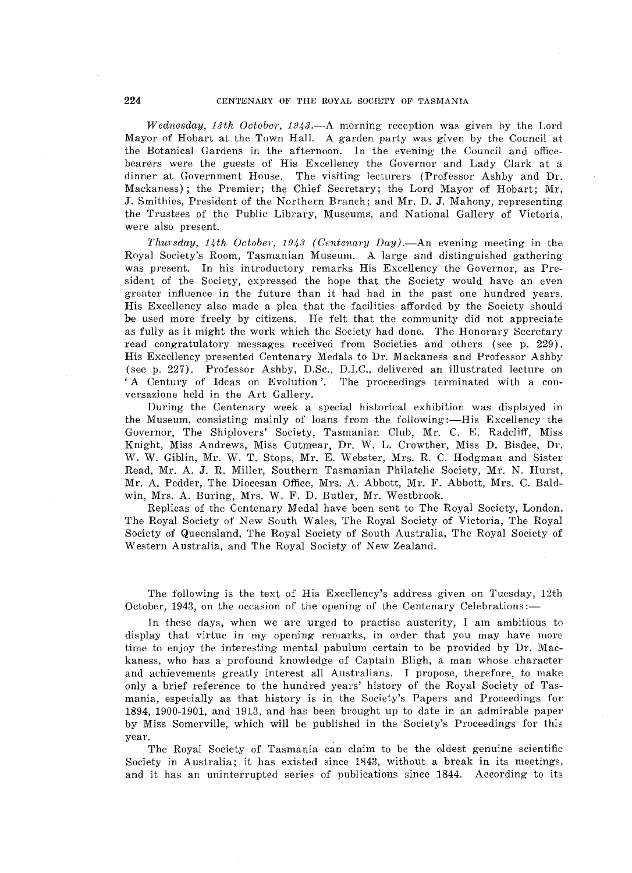*Wednesday, 13th October, 1943.*—A morning reception was given by the Lord Mayor of Hobart at the Town Hall. A garden party was given by the Council at the Botanical Gardens in the afternoon. In the evening the Council and officebearers were the guests of His Excellency the Governor and Lady Clark at a dinner at Government House. The visiting lecturers (Professor Ashby and Dr. Mackaness); the Premier; the Chief Secretary; the Lord Mayor of Hobart; Mr. J. Smithies, President of the Northern Branch; and Mr. D. J. Mahony, representing the Trustees of the Public Library, Museums, and National Gallery of Victoria, were also present.

*Thursday, 14th October, 1943 (Centenary Day).*—An evening meeting in the Royal Society's Room, Tasmanian Museum. A large and distinguished gathering was present. In his introductory remarks His Excellency the Governor, as President of the Society, expressed the hope that the Society would have an even greater influence in the future than it had had in the past one hundred years. His Excellency also made a plea that the facilities afforded by the Society should be used more freely by citizens. He felt that the community did not appreciate as fully as it might the work which the Society had done. The Honorary Secretary read congratulatory messages received from Societies and others (see p. 229). His Excellency presented Centenary Medals to Dr. Mackaness and Professor Ashby (see p. 227). Professor Ashby, D.Sc., D.LC., delivered an illustrated lecture on 'A Century of Ideas on Evolution '. The proceedings terminated with a conversazione held in the Art Gallery.

During the Centenary week a special historical exhibition was displayed in the Museum, consisting mainly of loans from the following :—His Excellency the Governor, The Shiplovers' Society, Tasmanian Club, Mr. C. E. Radcliff, Miss Knight, Miss Andrews, Miss Cutmear, Dr. W. L. Crowther, Miss D. Bisdee, Dr. W. W. Giblin, Mr. W. T. Stops, Mr. E. Webster, Mrs. R. C. Hodgman and Sister Read, Mr. A. J. R. Miller, Southern Tasmanian Philatelic Society, Mr. N. Hurst, Mr. A. Pedder, The Diocesan Office, Mrs. A. Abbott, Mr. F. Abbott, Mrs. C. Baldwin, Mrs. A. Buring, Mrs. W. F. D. Butler, Mr. Westbrook.

Replicas of the Centenary Medal have been sent to The Royal Society, London, The Royal Society of New South Wales, The Royal Society of Victoria, The Royal Society of Queensland, The Royal Society of South Australia, The Royal Society of Western Australia, and The Royal Society of New Zealand,

The following is the text of His Excellency's address given on Tuesday, 12th October, 1943, on the occasion of the opening of the Centenary Celebrations:-

In these days, when we are urged to practise austerity, I am ambitious to display that virtue in my opening remarks, in order that you may have more time to enjoy the interesting mental pabulum certain to be provided by Dr. Mackaness, who has a profound knowledge of Captain Bligh, a man whose character and achievements greatly interest all Australians. I propose, therefore, to make only a brief reference to the hundred years' history of the Royal Society of Tasmania, especially as that history is in the Society's Papers and Proceedings for 1894, 1900-1901, and 1913, and has been brought up to date in an admirable paper by Miss Somerville, which will be published in the Society's Proceedings for this year.

The Royal Society of Tasmania can claim to be the oldest genuine scientific Society in Australia; it has existed since 1843, without a break in its meetings, and it has an uninterrupted series of publications since 1844. According to its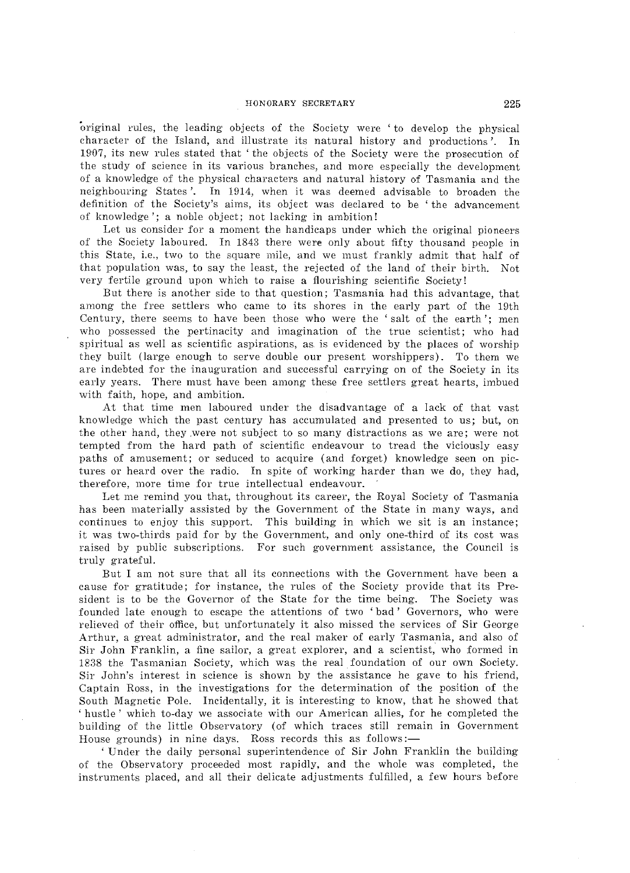#### HONORARY SECRETARY 225

'Original rules, the leading objects of the Society were 'to develop the physical character of the Island, and illustrate its natural history and productions '. In 1907, its new rules stated that' the objects of the Society were the prosecution of the study of science in its various branches, and more especially the development of a knowledge of the physical characters and natural history of Tasmania and the neighbouring States'. In 1914, when it was deemed advisable to broaden the definition of the Society's aims, its object was declared to be 'the advancement of knowledge '; a noble object; not lacking in ambition!

Let us consider for a moment the handicaps under which the original pioneers of the Society laboured. In 1848 there were only about fifty thousand people in this State, i.e., two to the square mile, and we must frankly admit that half of that population was, to say the least, the rejected of the land of their birth. Not very fertile ground upon which to raise a flourishing scientific Society!

But there is another side to that question; Tasmania had this advantage, that among the free settlers who came to its shores in the early part of the 19th Century, there seems to have been those who were the 'salt of the earth'; men who possessed the pertinacity and imagination of the true scientist; who had spiritual as well as scientific aspirations, as. is evidenced by the places of worship they built (large enough to serve double our present worshippers). To them we are indebted for the inauguration and successful carrying on of the Society in its early years. There must have been among these free settlers great hearts, imbued with faith, hope, and ambition.

At that time men laboured under the disadvantage of a lack of that vast knowledge which the past century has accumulated and presented to us; but, on the other hand, they.were not subject to so many distractions as we are; were not tempted from the hard path of scientific endeavour to tread the viciously easy paths of amusement; or seduced to acquire (and forget) knowledge seen on pictures or heard over the radio. In spite of working harder than we do, they had, therefore, more time for true intellectual endeavour.

Let me remind you that, throughout its career, the Royal Society of Tasmania has been materially assisted by the Government of the State in many ways, and continues to enjoy this support. This building in which we sit is an instance; it was two-thirds paid for by the Government, and only one-third of its cost was raised by public subscriptions. For such government assistance, the Council is truly grateful.

But I am not sure that all its connections with the Government have been a cause for gratitude; for instance, the rules of the Society provide that its President is to be the Governor of the State for the time being. The Society was founded late enough to escape the attentions of two 'bad' Governors, who were relieved of their office, but unfortunately it also missed the services of Sir George Arthur, a great administrator, and the real maker of early Tasmania, and also of Sir John Franklin, a fine sailor, a great explorer, and a scientist, who formed in 1838 the Tasmanian Society, which was the real foundation of our own Society. Sir John's interest in science is shown by the assistance he gave to his friend, Captain Ross, in the investigations for the determination of the position of the South Magnetic Pole. Incidentally, it is interesting to know, that he showed that , hustle' which to-day we associate with our American allies, for he completed the building of the little Observatory (of which traces still remain in Government House grounds) in nine days. Ross records this as follows:-

, Under the daily personal superintendence of Sir John Franklin the building of the Observatory proceeded most rapidly, and the whole was completed, the instruments placed, and all their delicate adjustments fulfilled, a few hours before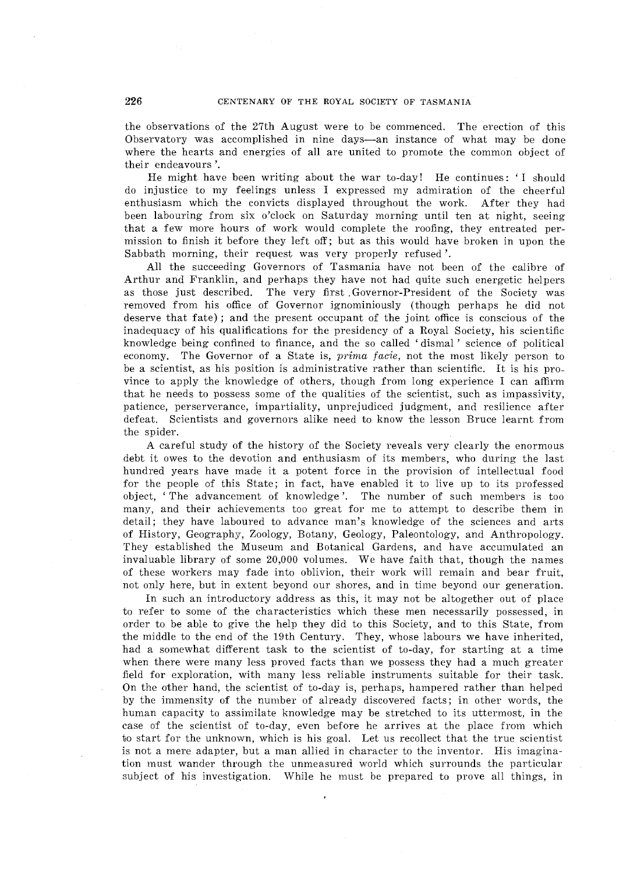the observations of the 27th August were to be commenced. The erection of this Observatory was accomplished in nine days-an instance of what may be done where the hearts and energies of all are united to promote the common object of their endeavours '.

He might have been writing about the war to-day! He continues: 'I should do injustice to my feelings unless I expressed my admiration of the cheerful enthusiasm which the convicts displayed throughout the work. After they had been labouring from six o'clock on Saturday morning until ten at night, seeing that a few more hours of work would complete the roofing, they entreated permission to finish it before they left off; but as this would have broken in upon the Sabbath morning, their request was very properly refused'.

All the succeeding Governors of Tasmania have not been of the calibre of Arthur and Franklin, and perhaps they have not had quite such energetic helpers as those just described. The very first ,Governor-President of the Society was removed from his office of Governor ignominiously (though perhaps he did not deserve that fate); and the present occupant of the joint office is conscious of the inadequacy of his qualifications for the presidency of a Royal Society, his scientific knowledge being confined to finance, and the so called 'dismal' science of political economy. The Governor of a State is, *prima facie*, not the most likely person to be a scientist, as his position is administrative rather than scientific. It is his province to apply the knowledge of others, though from long experience I can affirm that he needs to possess some of the qualities of the scientist, such as impassivity, patience, perserverance, impartiality, unprejudiced judgment, and resilience after defeat. Scientists and governors alike need to know the lesson Bruce learnt from the spider.

A careful study of the history of the Society reveals very clearly the enormous debt it owes to the devotion and enthusiasm of its members, who during the last hundred years have made it a potent force in the provision of intellectual food for the people of this State; in fact, have enabled it to live up to its professed object, 'The advancement of knowledge '. The number of such members is too many, and their achievements too great for me to attempt to describe them in detail; they have laboured to advance man's knowledge of the sciences and arts of History, Geography, Zoology, Botany, Geology, Paleontology, and Anthropology. They established the Museum and Botanical Gardens, and have accumulated an invaluable library of some 20,000 volumes. We have faith that, though the names of these workers may fade into oblivion, their work will remain and bear fruit, not only here, but in extent beyond our shores, and in time beyond our generation.

In such an introductory address as this, it may not be altogether out of place to refer to some of the characteristics which these men necessarily possessed, in order to be able to give the help they did to this Society, and to this State, from the middle to the end of the 19th Century. They, whose labours we have inherited, had a somewhat different task to the scientist of to-day, for starting at a time when there were many less proved facts than we possess they had a much greater field for exploration, with many less reliable instruments suitable for their task. On the other hand, the scientist of to-day is, perhaps, hampered rather than helped by the immensity of the number of already discovered facts; in other words, the human capacity to assimilate knowledge may be stretched to its uttermost, in the case of the scientist of to-day, even before he arrives at the place from which to start for the unknown, which is his goal, Let us recollect that the true scientist is not a mere adapter, but a man allied in character to the inventor. His imagination must wander through the unmeasured world which surrounds the particular subject of his investigation. While he must be prepared to prove all things, in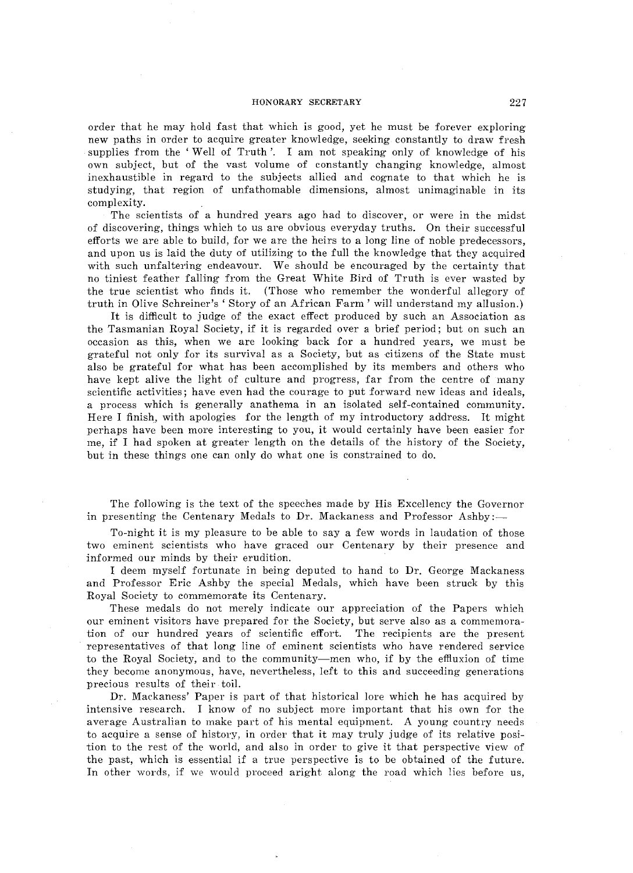#### HONORARY SECRETARY 227

order that he may hold fast that which is good, yet he must be forever exploring new paths in order to acquire greater knowledge, seeking constantly to draw fresh supplies from the' Well of Truth '. I am not speaking only of knowledge of his own subject, but of the vast volume of constantly changing knowledge, almost inexhaustible in regard to the subjects allied and cognate to that which he is studying, that region of unfathomable dimensions, almost unimaginable in its complexity.

The scientists of a hundred years ago had to discover, or were in the midst of discovering, things which to us are obvious everyday truths. On their successful efforts we are able to build, for we are the heirs to a long line of noble predecessors, and upon us is laid the duty of utilizing to the full the knowledge that they acquired with such unfaltering endeavour. We should be encouraged by the certainty that no tiniest feather falling from the Great White Bird of Truth is ever wasted by the true scientist who finds it. (Those who remember the wonderful allegory of truth in Olive Schreiner's 'Story of an African Farm' will understand my allusion.)

It is difficult to judge of the exact effect produced by such an Association as the Tasmanian Royal Society, if it is regarded over a brief period; but on such an occasion as this, when we are looking back for a hundred years, we must be grateful not only for its survival as a Society, but as citizens of the State must also be grateful for what has been accomplished by its members and others who have kept alive the light of culture and progress, far from the centre of many scientific activities; have even had the courage to put forward new ideas and ideals, a process which is generally anathema in an isolated self-contained community. Here I finish, with apologies for the length of my introductory address. It might perhaps have been more interesting to you, it would certainly have been easier for me, if I had spoken at greater length on the details of the history of the Society, but in these things one can only do what one is constrained to do.

The following is the text of the speeches made by His Excellency the Governor in presenting the Centenary Medals to Dr. Mackaness and Professor Ashby:-

To-night it is my pleasure to be able to say a few words in laudation of those two eminent scientists who have graced our Centenary by their presence and informed our minds by their erudition.

I deem myself fortunate in being deputed to hand to Dr. George Mackaness and Professor Eric Ashby the special Medals, which have been struck by this Royal Society to commemorate its Centenary.

These medals do not merely indicate our appreciation of the Papers which our eminent visitors have prepared for the Society, but serve also as a commemoration of our hundred years of scientific effort. The recipients are the present representatives of that long line of eminent scientists who have rendered service to the Royal Society, and to the community-men who, if by the effiuxion of time they become anonymous, have, nevertheless, left to this and succeeding generations precious results of their toil.

Dr. Mackaness' Paper is part of that historical lore which he has acquired by intensive research. I know of no subject more important that his own for the average Australian to make part of his mental equipment. A young country needs to acquire a sense of history, in order that it may truly judge of its relative position to the rest of the world, and also in order to give it that perspective view of the past, which is essential if a true perspective is to be obtained of the future. In other words. if we would proceed aright along the road which lies before us,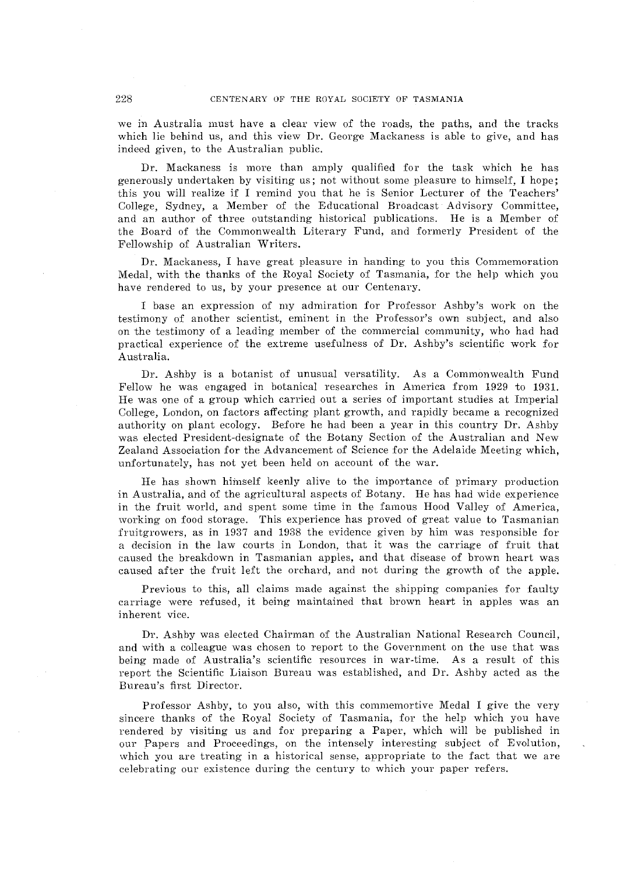we in Australia must have a clear view of the roads, the paths, and the tracks which lie behind us, and this view Dr. George Mackaness is able to give, and has indeed given, to the Australian public.

Dr. Mackaness is more than amply qualified for the task which he has generously undertaken by visiting us; not without some pleasure to himself, I hope; this you will realize if I remind you that he is Senior Lecturer of the Teachers' College, Sydney, a Member of the Educational Broadcast Advisory Committee, and an author of three outstanding historical publications. He is a Member of the Board of the Commonwealth Literary Fund, and formerly President of the Fellowship of Australian Writers.

Dr. Mackaness, I have great pleasure in handing to you this Commemoration Medal, with the thanks of the Royal Society of Tasmania, for the help which you have rendered to us, by your presence at our Centenary.

I base an expression of my admiration for Professor Ashby's work on the testimony of another scientist, eminent in the Professor's own subject, and also on the testimony of a leading member of the commercial community, who had had practical experience of the extreme usefulness of Dr. Ashby's scientific work for Australia.

Dr. Ashby is a botanist of unusual versatility. As a Commonwealth Fund Fellow he was engaged in botanical researches in America from 1929 to 1931. He was one of a group which carried out a series of important studies at Imperial College, London, on factors affecting plant growth, and rapidly became a recognized authority on plant ecology. Before he had been a year in this country Dr. Ashby was elected President-designate of the Botany Section of the Australian and New Zealand Association for the Advancement of Science for the Adelaide Meeting which, unfortunately, has not yet been held on account of the war.

He has shown himself keenly alive to the importance of primary production in Australia, and of the agricultural aspects of Botany. He has had wide experience in the fruit world, and spent some time in the famous Hood Valley of America, working on food storage. This experience has proved of great value to Tasmanian fruitgrowers, as in 1937 and 1938 the evidence given by him was responsible for a decision in the law courts in London, that it was the carriage of fruit that caused the breakdown in Tasmanian apples, and that disease of brown heart was caused after the fruit left the orchard, and not during the growth of the apple.

Previous to this, all claims made against the shipping companies for faulty carriage were refused, it being maintained that brown heart in apples was an inherent vice.

Dr. Ashby was elected Chairman of the Australian National Research Council, and with a colleague was chosen to report to the Government on the use that was being made of Australia's scientific resources in war-time. As a result of this report the Scientific Liaison Bureau was established, and Dr. Ashby acted as the Bureau's first Director.

Professor Ashby, to you also, with this commemortive Medal I give the very sincere thanks of the Royal Society of Tasmania, for the help which you have rendered by visiting us and for preparing a Paper, which will be published in our papers and Proceedings, on the intensely interesting subject of Evolution, which you are treating in a historical sense, appropriate to the fact that we are celebrating our existence during the century to which your paper refers.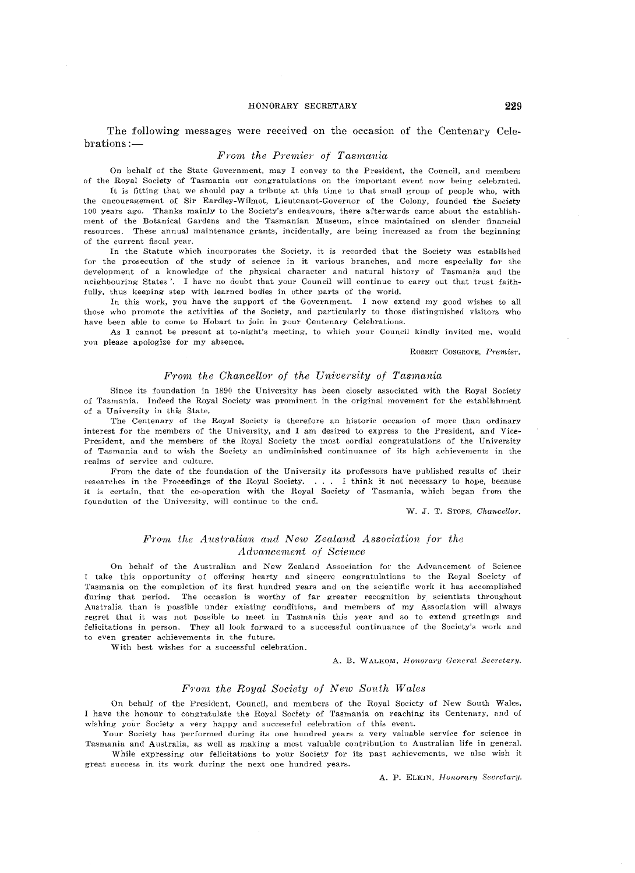#### HONORARY SECRETARY 229

The following messages were received on the occasion of the Centenary Celehrations:-

#### *From the Premier of Tasmania*

On behalf of the State Government, may I convey to the President, the Council, and members of the Royal Society of Tasmania our congratulations on the important event now being celebrated.

It is fitting that we should pay a tribute at this time to that small group of people who, with the encouragement of Sir Eardley-Wilmot, Lieutenant-Governor of the Colony, founded the Society 100 years ago. Thanks mainly to the Society's endeavours, there afterwards came about the establishment of the Botanical Gardens and the Tasmanian Museum, since maintained on slender financial resources. These annual maintenance grants, incidentally, are being increased as from the beginning of the current fiscal year.

In the Statute which incorporates the Society, it is recorded that the Society was established for the prosecution of the study of science in it various branches, and more especially for the development of a knowledge of the physical character and natural history of Tasmania and the, neighbouring States'. I have no doubt that your Council will continue to carry out that trust faithfully, thus keeping step with learned bodies in other parts of the world.

In this work, you have the support of the Government. I now extend my good wishes to all those who promote the activities of the Society, and particularly to those distinguished visitors who have been able to come to Hobart to join in your Centenary Celebrations.

As I cannot be present at to-night's meeting, to which your Council kindly invited me, would you please apologize for my absence.

ROBERT COSGROVE, Premier.

#### *Front the Chancellor' of the University of Tasrnnnia*

Since its foundation in 1890 the University has been closely associated with the Royal Society of Tasmania. Indeed the Royal Society was prominent in the original movement for the establishment of a University in this State.

The Centenary of the Royal Society is therefore an historic occasion of more than ordinary interest for the members of the University, and I am desired to express to the President, and Vice-- President, and the members of the Royal Society the most cordial congratulations of the University of Tasmania and to wish the Society an undiminished continuance of its high achievements in the realms of service and culture.

From the date of the foundation of the University its professors have published results of their researches in the Proceedings of the Royal Society. . . . I think it not necessary to hope, because it is certain, that the co-operation with the Royal Society of Tasmania, which began from the foundation of the University, will continue to the end.

W. J. T. STOPS, *Chancellor*.

# *Fr'orn the Austrnlian and New Zealand Association for the Advancement of Science*

On behalf of the Australian and New Zealand Association for the Advancement of Scienee take this opportunity of offering hearty and sincere congratulations to the Royal Society of Tasmania on the completion of its first hundred years and on the scientific work it has accomplished during that period. The occasion is worthy of far greater recognition by scientists throughout Australia than is possible under existing conditions, and members of my Association will always regret that it was not possible to meet in Tasmania this year and so to extend greetings and felicitations in person. They all look forward to a successful continuance of the Society's work and to even greater achievements in the future.

With best wishes for a successful celebration.

A. B. WALKOM, *Honorary General Secretary*.

#### *F1'om the Royal Society of New South Wales*

On behalf of the President, Council, and members of the Hoyal Society of New South Wales. have the honour to congratulate the Royal Society of Tasmania on reaching its Centenary, and of wishing your Society a very happy and successful celebration of this event.

Your Society has performed during its one hundred years a very valuable service for science in Tasmania and Australia, as well as making a most valuable contribution to Australian life in general.

While expressing our felicitations to your Society for its past achievements, we also wish it great success in its work during the next one hundred years.

A. P. ELKIN, *Honorary Secretary.*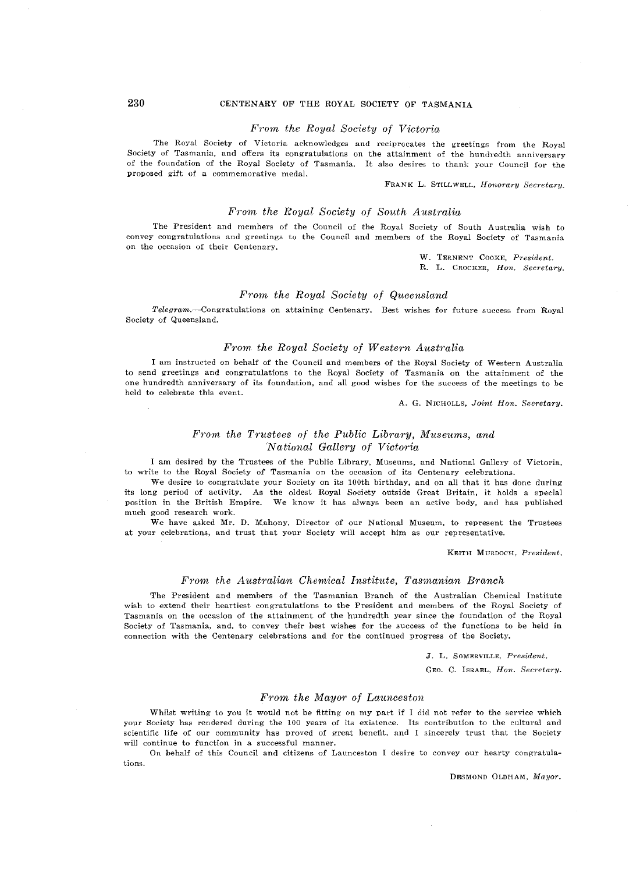# 230 CENTENARY OF THE ROYAL SOCIETY OF TASMANIA

#### *From the Royal Society of Victoria*

The Royal Society of Victoria acknowledges and reciprocates the greetings from the Royal Society of Tasmania, and offers its congratulations on the attainment of the hundredth anniversary of the foundation of the Royal Society of Tasmania. It also desires to thank your Council for the proposed gift of a commemorative medal.

#### FRANK L. STILLWELL, *Honorary Secretary*.

# *From the Royal Society of South Australia*

The President and members of the Council of the Royal Society of South Australia wish to convey congratulations and greetings to the Council and members of the Royal Society of Tasmania on the occasion of their Centenary.

W. TERNENT COOKE, President.

R. L. CROCKER, *Hon. Secretary*.

# *From the Royal Society of Queensland*

 $Telegram$ . -----Congratulations on attaining Centenary. Best wishes for future success from Royal Society of Queensland.

#### From the Royal Society of Western Australia

I am instructed on behalf of the Council and members of the Royal Society of Western Australia to send greetings and congratulations to the Royal Society of Tasmania on the attainment of the one hundredth anniversary of its foundation, and all good wishes for the success of the meetings to be held to celebrate this event.

A. G. NICHOLLS, *Joint Hon. Secretary.* 

## *From the Trustees of the Public Library, Museums, and 'National Gallery of Victoria*

I am desired by the Trustees of the Public Library, Museums, and National Gallery of Victoria. to write to the Royal Society of Tasmania on the occasion of its Centenary celebrations.

We desire to eongratulate your Society on its 100th birthday, and on all that it has done during its long period of activity. As the oldest Royal Society outside Great Britain, it holds a special position in the British Empire. We know it has always been an active body, and has published mueh good research work.

We have asked Mr. D. Mahony, Director of our National Museum, to represent the Trustees at your celebrations, and trust that your Society will accept him as our representative.

KEITH MURDOCH. *President.* 

## $From the Australian Chemical Institute, Tasmanian Branch$

The President and members of the Tasmanian Branch of the Australian Chemical Institute wish to extend their heartiest congratulations to the President and members of the Royal Society of Tasmania on the occasion of the attainment of the hundredth year since the foundation of the Royal Society of Tasmania, and, to convey their best wishes for the success of the functions to be held in connection with the Centenary eelebrations and for the continued progress of the Society.

J. L. SOMERVILLR, *President.* 

GEO. C. ISRAEL, *Hon. Secretary*.

#### *F'rom the Maym' of Launceston*

Whilst writing to you it would not be fitting on my part if I did not refer to the service which your Society has rendered during the 100 years of its existence. Its contribution to the cultural and scientific life of our community has proved of great benefit, and 1 sincerely trust that the Society will continue to function in a successful manner.

On behalf of this Council and citizens of Launeeston I desire to convey our hearty congratulations.

DESMOND OLDHAM, *Mayor.*